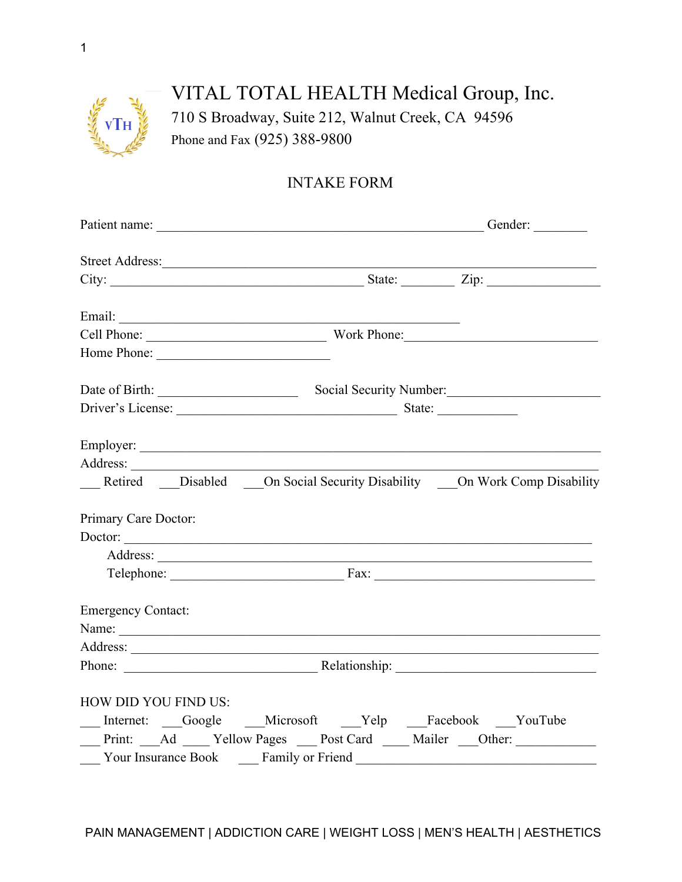

## VITAL TOTAL HEALTH Medical Group, Inc. 710 S Broadway, Suite 212, Walnut Creek, CA 94596 Phone and Fax (925) 388-9800

## INTAKE FORM

| Street Address:                                                                    |                                 |  |  |
|------------------------------------------------------------------------------------|---------------------------------|--|--|
|                                                                                    |                                 |  |  |
|                                                                                    |                                 |  |  |
|                                                                                    |                                 |  |  |
| Home Phone:                                                                        |                                 |  |  |
|                                                                                    |                                 |  |  |
|                                                                                    | Driver's License: State: State: |  |  |
|                                                                                    |                                 |  |  |
| Address:                                                                           |                                 |  |  |
| __ Retired __ Disabled __ On Social Security Disability __ On Work Comp Disability |                                 |  |  |
| Primary Care Doctor:                                                               |                                 |  |  |
| Doctor:                                                                            |                                 |  |  |
|                                                                                    |                                 |  |  |
|                                                                                    |                                 |  |  |
| <b>Emergency Contact:</b>                                                          |                                 |  |  |
|                                                                                    |                                 |  |  |
|                                                                                    |                                 |  |  |
|                                                                                    |                                 |  |  |
| HOW DID YOU FIND US:                                                               |                                 |  |  |
| Internet: Google Microsoft Yelp Facebook YouTube                                   |                                 |  |  |
| Print: Ad ___ Yellow Pages __ Post Card ___ Mailer __Other: _____________________  |                                 |  |  |
|                                                                                    |                                 |  |  |
|                                                                                    |                                 |  |  |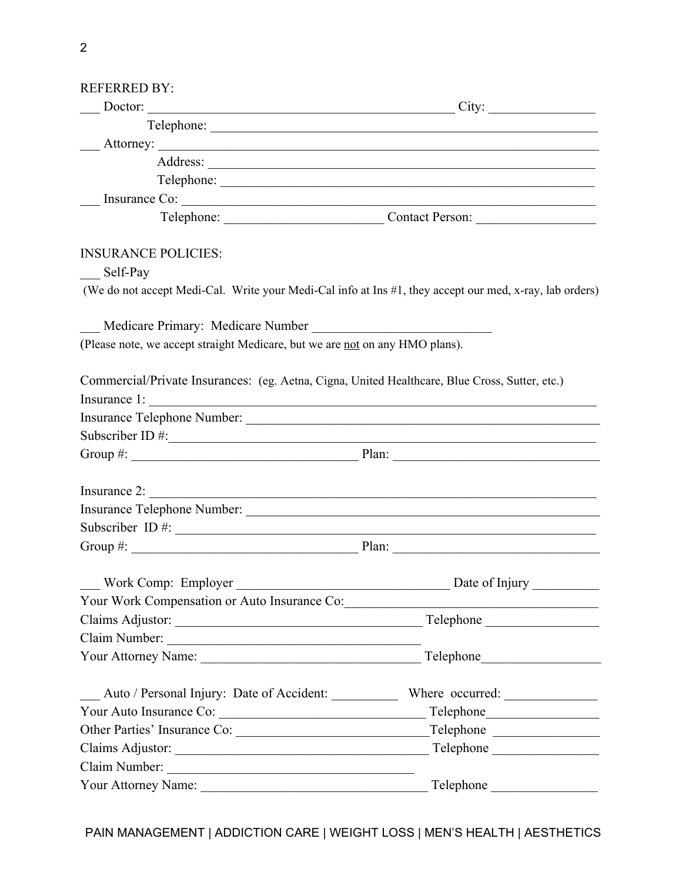| <b>REFERRED BY:</b>                                                                                                                                                                                                                                                                                               |                                                      |  |  |
|-------------------------------------------------------------------------------------------------------------------------------------------------------------------------------------------------------------------------------------------------------------------------------------------------------------------|------------------------------------------------------|--|--|
| Doctor: City:                                                                                                                                                                                                                                                                                                     |                                                      |  |  |
|                                                                                                                                                                                                                                                                                                                   |                                                      |  |  |
|                                                                                                                                                                                                                                                                                                                   |                                                      |  |  |
|                                                                                                                                                                                                                                                                                                                   |                                                      |  |  |
|                                                                                                                                                                                                                                                                                                                   | Telephone:                                           |  |  |
| $\frac{1}{2}$ Insurance Co: $\frac{1}{2}$                                                                                                                                                                                                                                                                         |                                                      |  |  |
|                                                                                                                                                                                                                                                                                                                   | Telephone: Contact Person:                           |  |  |
| <b>INSURANCE POLICIES:</b>                                                                                                                                                                                                                                                                                        |                                                      |  |  |
| Self-Pay                                                                                                                                                                                                                                                                                                          |                                                      |  |  |
| (We do not accept Medi-Cal. Write your Medi-Cal info at Ins #1, they accept our med, x-ray, lab orders)                                                                                                                                                                                                           |                                                      |  |  |
| Medicare Primary: Medicare Number                                                                                                                                                                                                                                                                                 |                                                      |  |  |
| (Please note, we accept straight Medicare, but we are not on any HMO plans).                                                                                                                                                                                                                                      |                                                      |  |  |
| Commercial/Private Insurances: (eg. Aetna, Cigna, United Healthcare, Blue Cross, Sutter, etc.)                                                                                                                                                                                                                    |                                                      |  |  |
| Insurance 1:                                                                                                                                                                                                                                                                                                      |                                                      |  |  |
|                                                                                                                                                                                                                                                                                                                   |                                                      |  |  |
| Subscriber ID $\#$ :                                                                                                                                                                                                                                                                                              |                                                      |  |  |
|                                                                                                                                                                                                                                                                                                                   |                                                      |  |  |
|                                                                                                                                                                                                                                                                                                                   |                                                      |  |  |
|                                                                                                                                                                                                                                                                                                                   |                                                      |  |  |
| Subscriber ID #: $\frac{1}{2}$ $\frac{1}{2}$ $\frac{1}{2}$ $\frac{1}{2}$ $\frac{1}{2}$ $\frac{1}{2}$ $\frac{1}{2}$ $\frac{1}{2}$ $\frac{1}{2}$ $\frac{1}{2}$ $\frac{1}{2}$ $\frac{1}{2}$ $\frac{1}{2}$ $\frac{1}{2}$ $\frac{1}{2}$ $\frac{1}{2}$ $\frac{1}{2}$ $\frac{1}{2}$ $\frac{1}{2}$ $\frac{1}{2}$ $\frac{$ |                                                      |  |  |
| Group $\#$ : $\qquad \qquad$ Plan: $\qquad \qquad$ Plan:                                                                                                                                                                                                                                                          |                                                      |  |  |
| Work Comp: Employer<br><u> 1980 - Johann Stein, mars an deutscher Stein (</u>                                                                                                                                                                                                                                     | Date of Injury                                       |  |  |
| Your Work Compensation or Auto Insurance Co:                                                                                                                                                                                                                                                                      |                                                      |  |  |
|                                                                                                                                                                                                                                                                                                                   | Telephone                                            |  |  |
|                                                                                                                                                                                                                                                                                                                   |                                                      |  |  |
|                                                                                                                                                                                                                                                                                                                   | Telephone<br><u> 1980 - Johann Stein, mars an t-</u> |  |  |
| Auto / Personal Injury: Date of Accident: Where occurred: _______________________                                                                                                                                                                                                                                 |                                                      |  |  |
| Your Auto Insurance Co:                                                                                                                                                                                                                                                                                           |                                                      |  |  |
|                                                                                                                                                                                                                                                                                                                   | Telephone                                            |  |  |
|                                                                                                                                                                                                                                                                                                                   | Telephone                                            |  |  |
|                                                                                                                                                                                                                                                                                                                   |                                                      |  |  |
|                                                                                                                                                                                                                                                                                                                   | Telephone                                            |  |  |